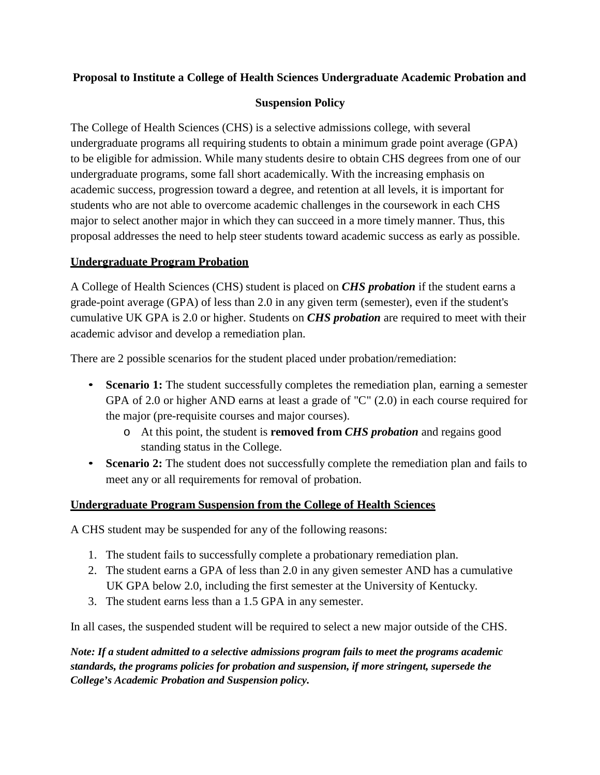### **Proposal to Institute a College of Health Sciences Undergraduate Academic Probation and**

#### **Suspension Policy**

The College of Health Sciences (CHS) is a selective admissions college, with several undergraduate programs all requiring students to obtain a minimum grade point average (GPA) to be eligible for admission. While many students desire to obtain CHS degrees from one of our undergraduate programs, some fall short academically. With the increasing emphasis on academic success, progression toward a degree, and retention at all levels, it is important for students who are not able to overcome academic challenges in the coursework in each CHS major to select another major in which they can succeed in a more timely manner. Thus, this proposal addresses the need to help steer students toward academic success as early as possible.

#### **Undergraduate Program Probation**

A College of Health Sciences (CHS) student is placed on *CHS probation* if the student earns a grade-point average (GPA) of less than 2.0 in any given term (semester), even if the student's cumulative UK GPA is 2.0 or higher. Students on *CHS probation* are required to meet with their academic advisor and develop a remediation plan.

There are 2 possible scenarios for the student placed under probation/remediation:

- **Scenario 1:** The student successfully completes the remediation plan, earning a semester GPA of 2.0 or higher AND earns at least a grade of "C" (2.0) in each course required for the major (pre-requisite courses and major courses).
	- o At this point, the student is **removed from** *CHS probation* and regains good standing status in the College.
- **Scenario 2:** The student does not successfully complete the remediation plan and fails to meet any or all requirements for removal of probation.

#### **Undergraduate Program Suspension from the College of Health Sciences**

A CHS student may be suspended for any of the following reasons:

- 1. The student fails to successfully complete a probationary remediation plan.
- 2. The student earns a GPA of less than 2.0 in any given semester AND has a cumulative UK GPA below 2.0, including the first semester at the University of Kentucky.
- 3. The student earns less than a 1.5 GPA in any semester.

In all cases, the suspended student will be required to select a new major outside of the CHS.

*Note: If a student admitted to a selective admissions program fails to meet the programs academic standards, the programs policies for probation and suspension, if more stringent, supersede the College's Academic Probation and Suspension policy.*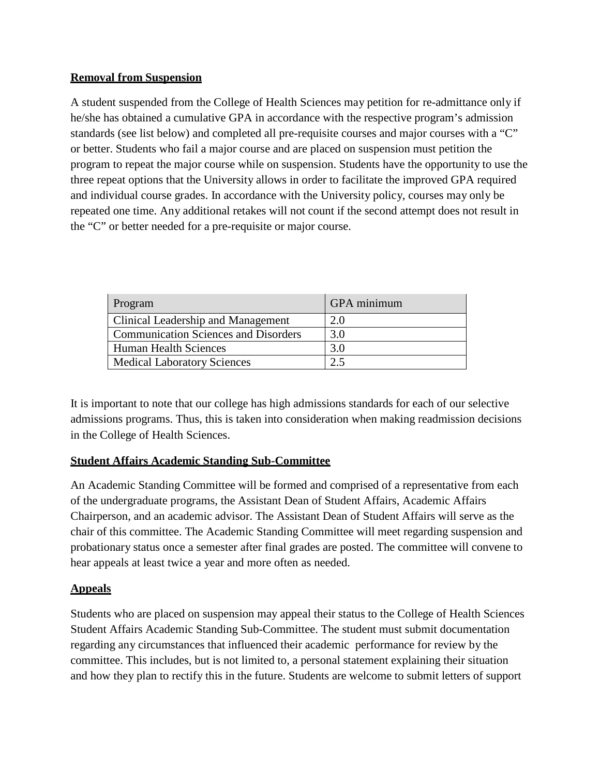#### **Removal from Suspension**

A student suspended from the College of Health Sciences may petition for re-admittance only if he/she has obtained a cumulative GPA in accordance with the respective program's admission standards (see list below) and completed all pre-requisite courses and major courses with a "C" or better. Students who fail a major course and are placed on suspension must petition the program to repeat the major course while on suspension. Students have the opportunity to use the three repeat options that the University allows in order to facilitate the improved GPA required and individual course grades. In accordance with the University policy, courses may only be repeated one time. Any additional retakes will not count if the second attempt does not result in the "C" or better needed for a pre-requisite or major course.

| Program                                     | <b>GPA</b> minimum |
|---------------------------------------------|--------------------|
| Clinical Leadership and Management          | 2.0                |
| <b>Communication Sciences and Disorders</b> | 3.0                |
| <b>Human Health Sciences</b>                | 3.0                |
| <b>Medical Laboratory Sciences</b>          |                    |

It is important to note that our college has high admissions standards for each of our selective admissions programs. Thus, this is taken into consideration when making readmission decisions in the College of Health Sciences.

## **Student Affairs Academic Standing Sub-Committee**

An Academic Standing Committee will be formed and comprised of a representative from each of the undergraduate programs, the Assistant Dean of Student Affairs, Academic Affairs Chairperson, and an academic advisor. The Assistant Dean of Student Affairs will serve as the chair of this committee. The Academic Standing Committee will meet regarding suspension and probationary status once a semester after final grades are posted. The committee will convene to hear appeals at least twice a year and more often as needed.

## **Appeals**

Students who are placed on suspension may appeal their status to the College of Health Sciences Student Affairs Academic Standing Sub-Committee. The student must submit documentation regarding any circumstances that influenced their academic performance for review by the committee. This includes, but is not limited to, a personal statement explaining their situation and how they plan to rectify this in the future. Students are welcome to submit letters of support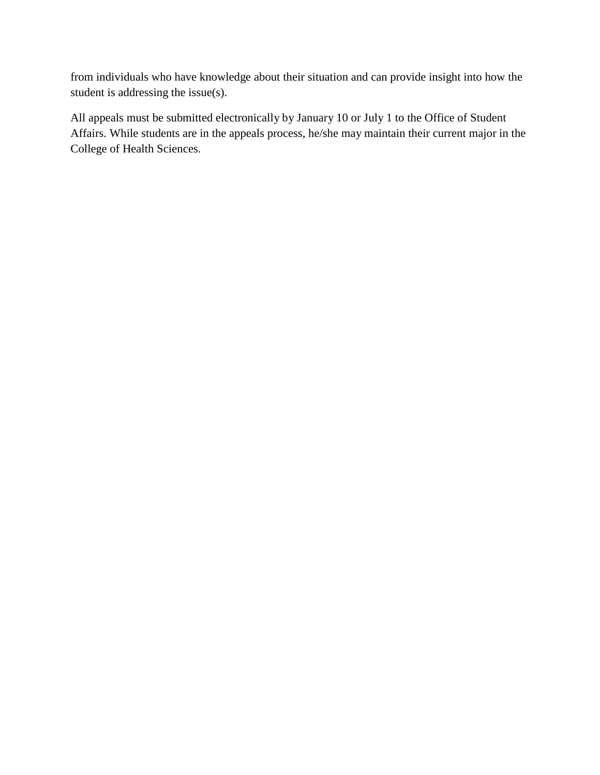from individuals who have knowledge about their situation and can provide insight into how the student is addressing the issue(s).

All appeals must be submitted electronically by January 10 or July 1 to the Office of Student Affairs. While students are in the appeals process, he/she may maintain their current major in the College of Health Sciences.